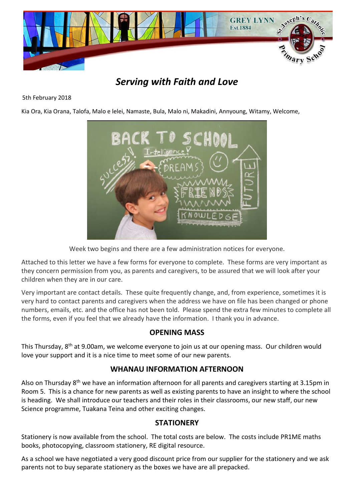

# *Serving with Faith and Love*

#### 5th February 2018

Kia Ora, Kia Orana, Talofa, Malo e lelei, Namaste, Bula, Malo ni, Makadini, Annyoung, Witamy, Welcome,



Week two begins and there are a few administration notices for everyone.

Attached to this letter we have a few forms for everyone to complete. These forms are very important as they concern permission from you, as parents and caregivers, to be assured that we will look after your children when they are in our care.

Very important are contact details. These quite frequently change, and, from experience, sometimes it is very hard to contact parents and caregivers when the address we have on file has been changed or phone numbers, emails, etc. and the office has not been told. Please spend the extra few minutes to complete all the forms, even if you feel that we already have the information. I thank you in advance.

# **OPENING MASS**

This Thursday, 8th at 9.00am, we welcome everyone to join us at our opening mass. Our children would love your support and it is a nice time to meet some of our new parents.

# **WHANAU INFORMATION AFTERNOON**

Also on Thursday 8th we have an information afternoon for all parents and caregivers starting at 3.15pm in Room 5. This is a chance for new parents as well as existing parents to have an insight to where the school is heading. We shall introduce our teachers and their roles in their classrooms, our new staff, our new Science programme, Tuakana Teina and other exciting changes.

# **STATIONERY**

Stationery is now available from the school. The total costs are below. The costs include PR1ME maths books, photocopying, classroom stationery, RE digital resource.

As a school we have negotiated a very good discount price from our supplier for the stationery and we ask parents not to buy separate stationery as the boxes we have are all prepacked.